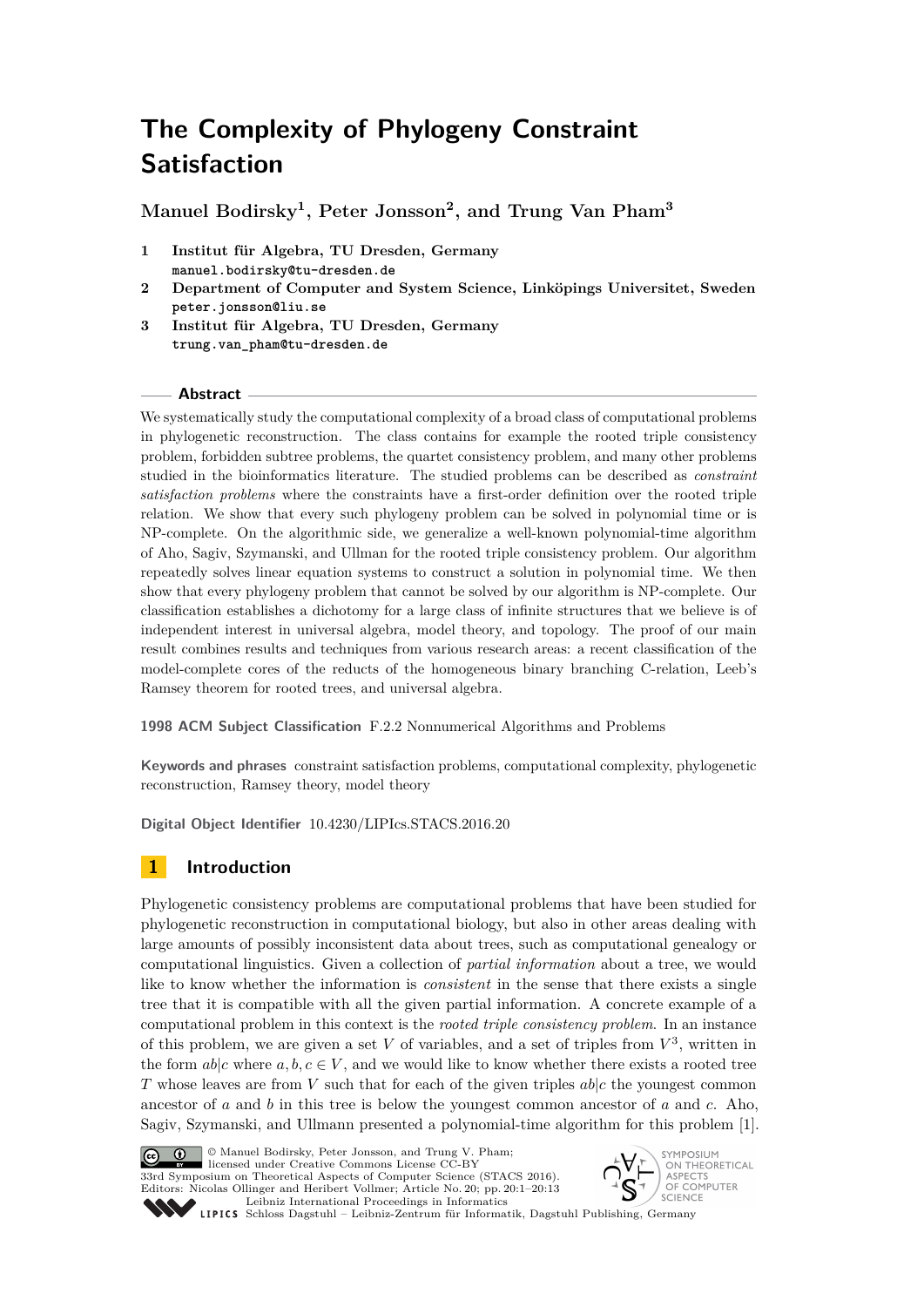# **The Complexity of Phylogeny Constraint Satisfaction**

**Manuel Bodirsky<sup>1</sup> , Peter Jonsson<sup>2</sup> , and Trung Van Pham<sup>3</sup>**

- **1 Institut für Algebra, TU Dresden, Germany manuel.bodirsky@tu-dresden.de**
- **2 Department of Computer and System Science, Linköpings Universitet, Sweden peter.jonsson@liu.se**
- **3 Institut für Algebra, TU Dresden, Germany trung.van\_pham@tu-dresden.de**

# **Abstract**

We systematically study the computational complexity of a broad class of computational problems in phylogenetic reconstruction. The class contains for example the rooted triple consistency problem, forbidden subtree problems, the quartet consistency problem, and many other problems studied in the bioinformatics literature. The studied problems can be described as *constraint satisfaction problems* where the constraints have a first-order definition over the rooted triple relation. We show that every such phylogeny problem can be solved in polynomial time or is NP-complete. On the algorithmic side, we generalize a well-known polynomial-time algorithm of Aho, Sagiv, Szymanski, and Ullman for the rooted triple consistency problem. Our algorithm repeatedly solves linear equation systems to construct a solution in polynomial time. We then show that every phylogeny problem that cannot be solved by our algorithm is NP-complete. Our classification establishes a dichotomy for a large class of infinite structures that we believe is of independent interest in universal algebra, model theory, and topology. The proof of our main result combines results and techniques from various research areas: a recent classification of the model-complete cores of the reducts of the homogeneous binary branching C-relation, Leeb's Ramsey theorem for rooted trees, and universal algebra.

**1998 ACM Subject Classification** F.2.2 Nonnumerical Algorithms and Problems

**Keywords and phrases** constraint satisfaction problems, computational complexity, phylogenetic reconstruction, Ramsey theory, model theory

**Digital Object Identifier** [10.4230/LIPIcs.STACS.2016.20](http://dx.doi.org/10.4230/LIPIcs.STACS.2016.20)

# **1 Introduction**

Phylogenetic consistency problems are computational problems that have been studied for phylogenetic reconstruction in computational biology, but also in other areas dealing with large amounts of possibly inconsistent data about trees, such as computational genealogy or computational linguistics. Given a collection of *partial information* about a tree, we would like to know whether the information is *consistent* in the sense that there exists a single tree that it is compatible with all the given partial information. A concrete example of a computational problem in this context is the *rooted triple consistency problem*. In an instance of this problem, we are given a set  $V$  of variables, and a set of triples from  $V^3$ , written in the form  $ab|c$  where  $a, b, c \in V$ , and we would like to know whether there exists a rooted tree *T* whose leaves are from *V* such that for each of the given triples *ab*|*c* the youngest common ancestor of *a* and *b* in this tree is below the youngest common ancestor of *a* and *c*. Aho, Sagiv, Szymanski, and Ullmann presented a polynomial-time algorithm for this problem [\[1\]](#page-11-0).



© Manuel Bodirsky, Peter Jonsson, and Trung V. Pham; licensed under Creative Commons License CC-BY

33rd Symposium on Theoretical Aspects of Computer Science (STACS 2016). Editors: Nicolas Ollinger and Heribert Vollmer; Article No. 20; pp. 20:1–20[:13](#page-12-0) [Leibniz International Proceedings in Informatics](http://www.dagstuhl.de/lipics/)



Leibniz international Froceedings in miximisity Dagstuhl Publishing, Germany<br>LIPICS [Schloss Dagstuhl – Leibniz-Zentrum für Informatik, Dagstuhl Publishing, Germany](http://www.dagstuhl.de)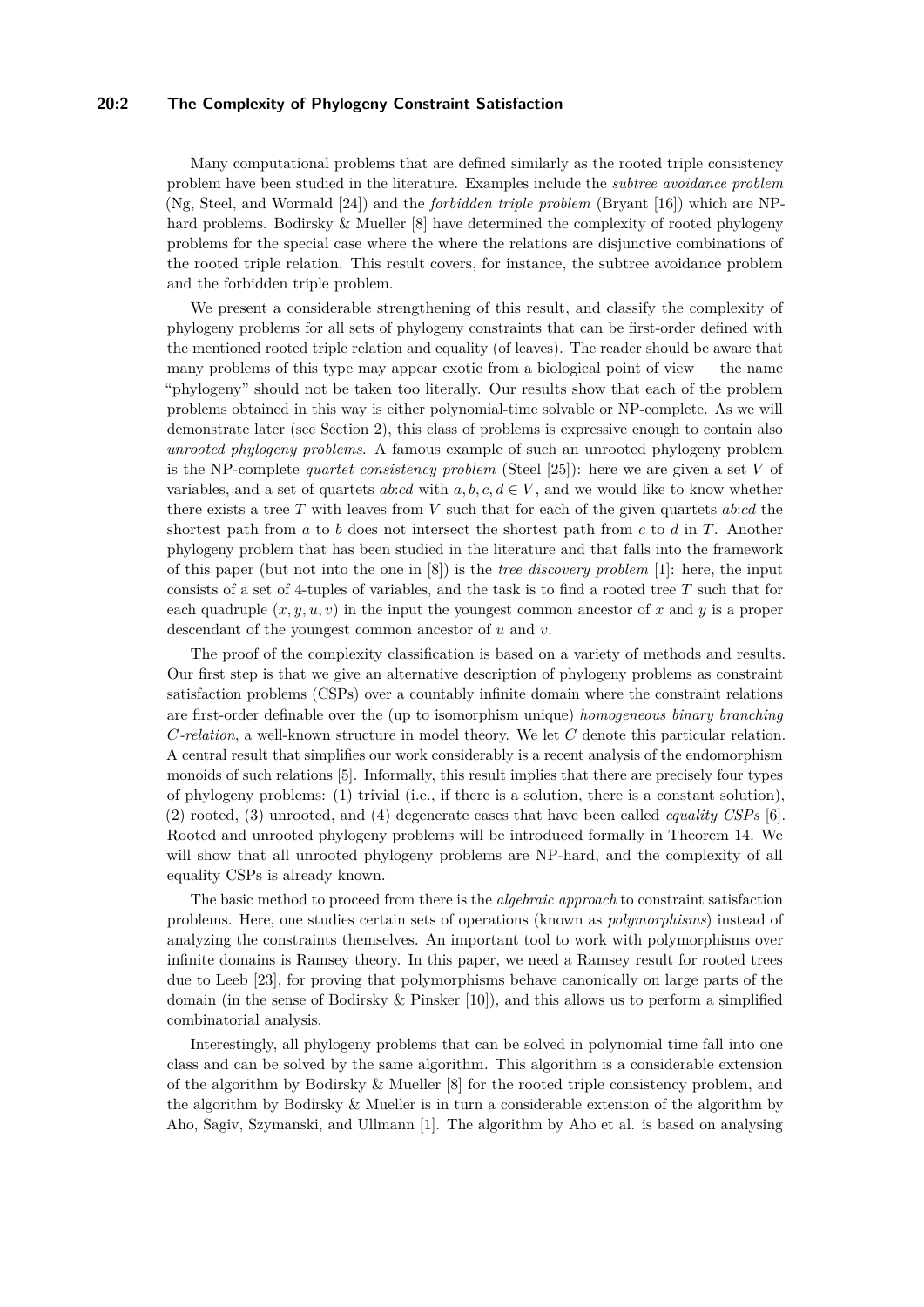# **20:2 The Complexity of Phylogeny Constraint Satisfaction**

Many computational problems that are defined similarly as the rooted triple consistency problem have been studied in the literature. Examples include the *subtree avoidance problem* (Ng, Steel, and Wormald [\[24\]](#page-12-1)) and the *forbidden triple problem* (Bryant [\[16\]](#page-12-2)) which are NPhard problems. Bodirsky & Mueller [\[8\]](#page-12-3) have determined the complexity of rooted phylogeny problems for the special case where the where the relations are disjunctive combinations of the rooted triple relation. This result covers, for instance, the subtree avoidance problem and the forbidden triple problem.

We present a considerable strengthening of this result, and classify the complexity of phylogeny problems for all sets of phylogeny constraints that can be first-order defined with the mentioned rooted triple relation and equality (of leaves). The reader should be aware that many problems of this type may appear exotic from a biological point of view  $-$  the name "phylogeny" should not be taken too literally. Our results show that each of the problem problems obtained in this way is either polynomial-time solvable or NP-complete. As we will demonstrate later (see Section [2\)](#page-2-0), this class of problems is expressive enough to contain also *unrooted phylogeny problems*. A famous example of such an unrooted phylogeny problem is the NP-complete *quartet consistency problem* (Steel [\[25\]](#page-12-4)): here we are given a set *V* of variables, and a set of quartets *ab:cd* with  $a, b, c, d \in V$ , and we would like to know whether there exists a tree *T* with leaves from *V* such that for each of the given quartets *ab*:*cd* the shortest path from *a* to *b* does not intersect the shortest path from *c* to *d* in *T*. Another phylogeny problem that has been studied in the literature and that falls into the framework of this paper (but not into the one in [\[8\]](#page-12-3)) is the *tree discovery problem* [\[1\]](#page-11-0): here, the input consists of a set of 4-tuples of variables, and the task is to find a rooted tree *T* such that for each quadruple  $(x, y, u, v)$  in the input the youngest common ancestor of x and y is a proper descendant of the youngest common ancestor of *u* and *v*.

The proof of the complexity classification is based on a variety of methods and results. Our first step is that we give an alternative description of phylogeny problems as constraint satisfaction problems (CSPs) over a countably infinite domain where the constraint relations are first-order definable over the (up to isomorphism unique) *homogeneous binary branching C-relation*, a well-known structure in model theory. We let *C* denote this particular relation. A central result that simplifies our work considerably is a recent analysis of the endomorphism monoids of such relations [\[5\]](#page-12-5). Informally, this result implies that there are precisely four types of phylogeny problems: (1) trivial (i.e., if there is a solution, there is a constant solution), (2) rooted, (3) unrooted, and (4) degenerate cases that have been called *equality CSPs* [\[6\]](#page-12-6). Rooted and unrooted phylogeny problems will be introduced formally in Theorem [14.](#page-7-0) We will show that all unrooted phylogeny problems are NP-hard, and the complexity of all equality CSPs is already known.

The basic method to proceed from there is the *algebraic approach* to constraint satisfaction problems. Here, one studies certain sets of operations (known as *polymorphisms*) instead of analyzing the constraints themselves. An important tool to work with polymorphisms over infinite domains is Ramsey theory. In this paper, we need a Ramsey result for rooted trees due to Leeb [\[23\]](#page-12-7), for proving that polymorphisms behave canonically on large parts of the domain (in the sense of Bodirsky & Pinsker [\[10\]](#page-12-8)), and this allows us to perform a simplified combinatorial analysis.

Interestingly, all phylogeny problems that can be solved in polynomial time fall into one class and can be solved by the same algorithm. This algorithm is a considerable extension of the algorithm by Bodirsky & Mueller [\[8\]](#page-12-3) for the rooted triple consistency problem, and the algorithm by Bodirsky & Mueller is in turn a considerable extension of the algorithm by Aho, Sagiv, Szymanski, and Ullmann [\[1\]](#page-11-0). The algorithm by Aho et al. is based on analysing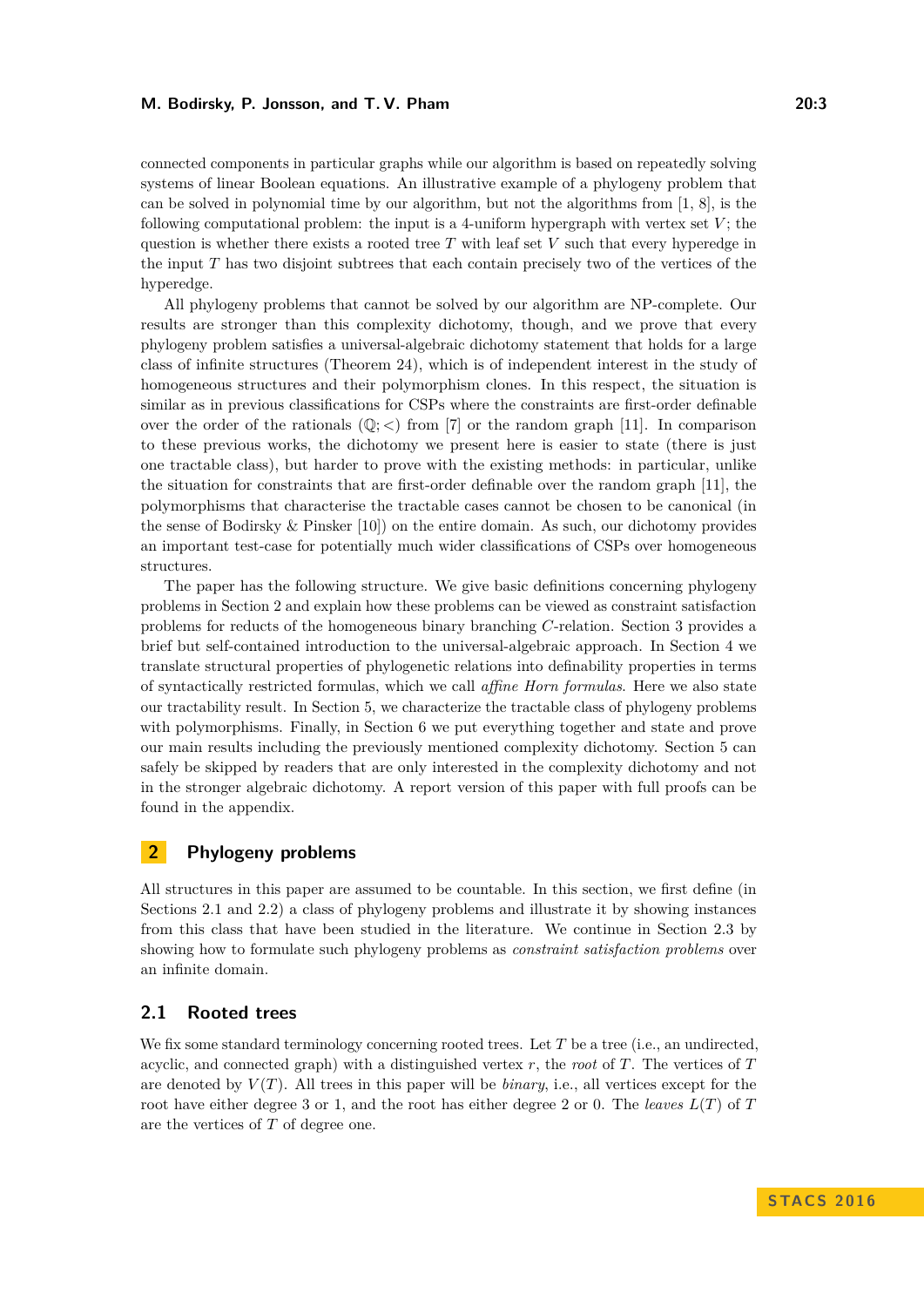connected components in particular graphs while our algorithm is based on repeatedly solving systems of linear Boolean equations. An illustrative example of a phylogeny problem that can be solved in polynomial time by our algorithm, but not the algorithms from  $[1, 8]$  $[1, 8]$  $[1, 8]$ , is the following computational problem: the input is a 4-uniform hypergraph with vertex set  $V$ ; the question is whether there exists a rooted tree *T* with leaf set *V* such that every hyperedge in the input *T* has two disjoint subtrees that each contain precisely two of the vertices of the hyperedge.

All phylogeny problems that cannot be solved by our algorithm are NP-complete. Our results are stronger than this complexity dichotomy, though, and we prove that every phylogeny problem satisfies a universal-algebraic dichotomy statement that holds for a large class of infinite structures (Theorem [24\)](#page-10-0), which is of independent interest in the study of homogeneous structures and their polymorphism clones. In this respect, the situation is similar as in previous classifications for CSPs where the constraints are first-order definable over the order of the rationals  $(\mathbb{Q};<)$  from [\[7\]](#page-12-9) or the random graph [\[11\]](#page-12-10). In comparison to these previous works, the dichotomy we present here is easier to state (there is just one tractable class), but harder to prove with the existing methods: in particular, unlike the situation for constraints that are first-order definable over the random graph [\[11\]](#page-12-10), the polymorphisms that characterise the tractable cases cannot be chosen to be canonical (in the sense of Bodirsky & Pinsker [\[10\]](#page-12-8)) on the entire domain. As such, our dichotomy provides an important test-case for potentially much wider classifications of CSPs over homogeneous structures.

The paper has the following structure. We give basic definitions concerning phylogeny problems in Section [2](#page-2-0) and explain how these problems can be viewed as constraint satisfaction problems for reducts of the homogeneous binary branching *C*-relation. Section [3](#page-5-0) provides a brief but self-contained introduction to the universal-algebraic approach. In Section [4](#page-8-0) we translate structural properties of phylogenetic relations into definability properties in terms of syntactically restricted formulas, which we call *affine Horn formulas*. Here we also state our tractability result. In Section [5,](#page-9-0) we characterize the tractable class of phylogeny problems with polymorphisms. Finally, in Section [6](#page-10-1) we put everything together and state and prove our main results including the previously mentioned complexity dichotomy. Section [5](#page-9-0) can safely be skipped by readers that are only interested in the complexity dichotomy and not in the stronger algebraic dichotomy. A report version of this paper with full proofs can be found in the appendix.

# <span id="page-2-0"></span>**2 Phylogeny problems**

All structures in this paper are assumed to be countable. In this section, we first define (in Sections [2.1](#page-2-1) and [2.2\)](#page-3-0) a class of phylogeny problems and illustrate it by showing instances from this class that have been studied in the literature. We continue in Section [2.3](#page-4-0) by showing how to formulate such phylogeny problems as *constraint satisfaction problems* over an infinite domain.

# <span id="page-2-1"></span>**2.1 Rooted trees**

We fix some standard terminology concerning rooted trees. Let *T* be a tree (i.e., an undirected, acyclic, and connected graph) with a distinguished vertex *r*, the *root* of *T*. The vertices of *T* are denoted by  $V(T)$ . All trees in this paper will be *binary*, i.e., all vertices except for the root have either degree 3 or 1, and the root has either degree 2 or 0. The *leaves L*(*T*) of *T* are the vertices of *T* of degree one.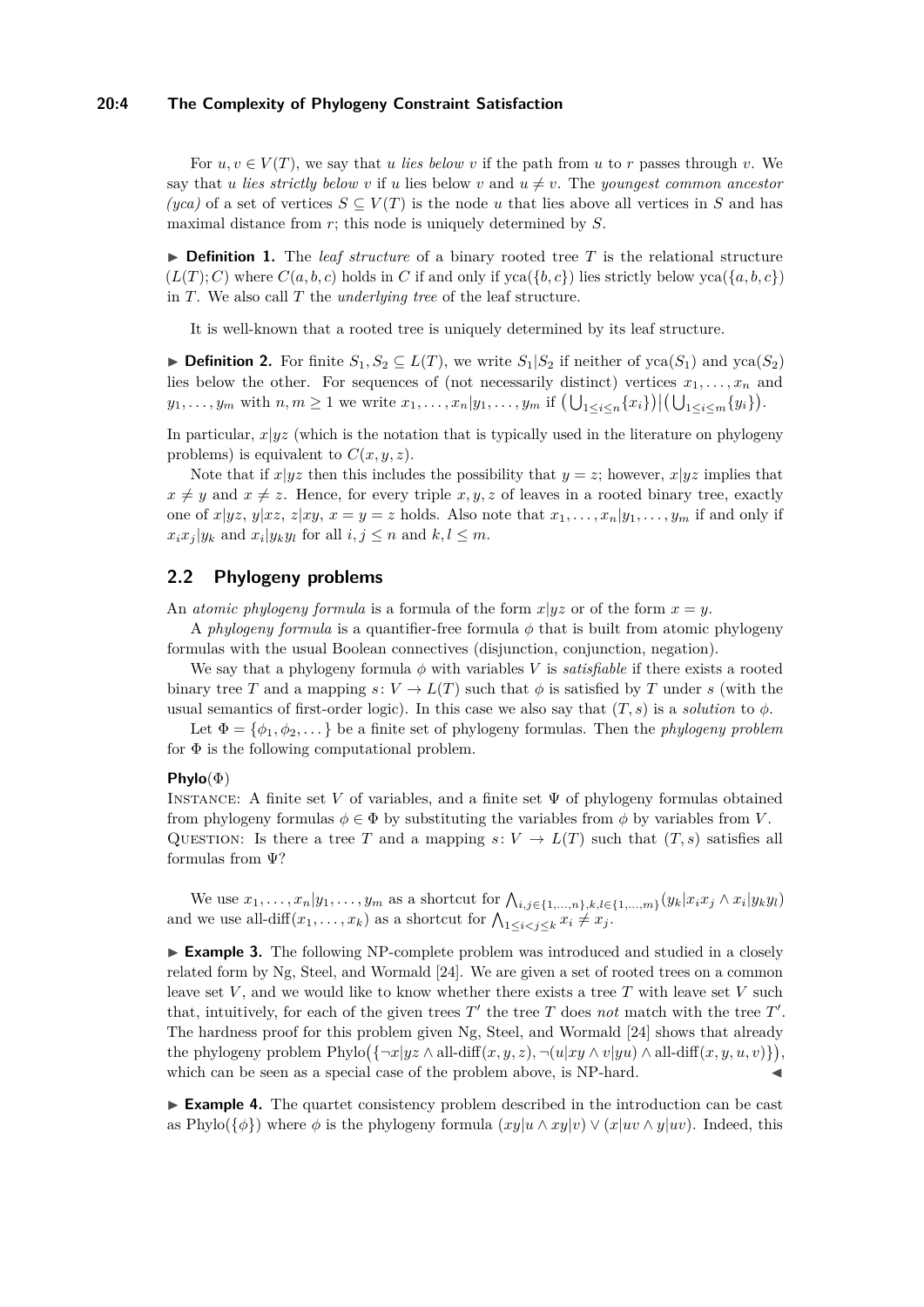# **20:4 The Complexity of Phylogeny Constraint Satisfaction**

For  $u, v \in V(T)$ , we say that *u lies below v* if the path from *u* to *r* passes through *v*. We say that *u lies strictly below v* if *u* lies below *v* and  $u \neq v$ . The *youngest common ancestor (yca)* of a set of vertices  $S \subseteq V(T)$  is the node *u* that lies above all vertices in *S* and has maximal distance from *r*; this node is uniquely determined by *S*.

<span id="page-3-1"></span> $\triangleright$  **Definition 1.** The *leaf structure* of a binary rooted tree *T* is the relational structure  $(L(T); C)$  where  $C(a, b, c)$  holds in *C* if and only if  $yca({b, c})$  lies strictly below  $yca({a, b, c})$ in *T*. We also call *T* the *underlying tree* of the leaf structure.

It is well-known that a rooted tree is uniquely determined by its leaf structure.

▶ **Definition 2.** For finite  $S_1, S_2 \subseteq L(T)$ , we write  $S_1|S_2$  if neither of yca( $S_1$ ) and yca( $S_2$ ) lies below the other. For sequences of (not necessarily distinct) vertices  $x_1, \ldots, x_n$  and  $y_1,\ldots,y_m$  with  $n,m\geq 1$  we write  $x_1,\ldots,x_n|y_1,\ldots,y_m$  if  $\left(\bigcup_{1\leq i\leq n}\{x_i\}\right)|\left(\bigcup_{1\leq i\leq m}\{y_i\}\right).$ 

In particular,  $x|yz$  (which is the notation that is typically used in the literature on phylogeny problems) is equivalent to  $C(x, y, z)$ .

Note that if  $x|yz$  then this includes the possibility that  $y = z$ ; however,  $x|yz$  implies that  $x \neq y$  and  $x \neq z$ . Hence, for every triple *x, y, z* of leaves in a rooted binary tree, exactly one of  $x|yz$ ,  $y|xz$ ,  $z|xy$ ,  $x = y = z$  holds. Also note that  $x_1, \ldots, x_n|y_1, \ldots, y_m$  if and only if  $x_i x_j | y_k$  and  $x_i | y_k y_l$  for all  $i, j \leq n$  and  $k, l \leq m$ .

# <span id="page-3-0"></span>**2.2 Phylogeny problems**

An *atomic phylogeny formula* is a formula of the form  $x|yz$  or of the form  $x = y$ .

A *phylogeny formula* is a quantifier-free formula *φ* that is built from atomic phylogeny formulas with the usual Boolean connectives (disjunction, conjunction, negation).

We say that a phylogeny formula  $\phi$  with variables *V* is *satisfiable* if there exists a rooted binary tree *T* and a mapping  $s: V \to L(T)$  such that  $\phi$  is satisfied by *T* under *s* (with the usual semantics of first-order logic). In this case we also say that  $(T, s)$  is a *solution* to  $\phi$ .

Let  $\Phi = {\phi_1, \phi_2, \ldots}$  be a finite set of phylogeny formulas. Then the *phylogeny problem* for  $\Phi$  is the following computational problem.

### **Phylo**(Φ)

INSTANCE: A finite set *V* of variables, and a finite set  $\Psi$  of phylogeny formulas obtained from phylogeny formulas  $\phi \in \Phi$  by substituting the variables from  $\phi$  by variables from *V*. QUESTION: Is there a tree *T* and a mapping  $s: V \to L(T)$  such that  $(T, s)$  satisfies all formulas from Ψ?

We use  $x_1, \ldots, x_n | y_1, \ldots, y_m$  as a shortcut for  $\bigwedge_{i,j \in \{1,\ldots,n\}, k,l \in \{1,\ldots,m\}} (y_k | x_i x_j \wedge x_i | y_k y_l)$ and we use all-diff $(x_1, \ldots, x_k)$  as a shortcut for  $\bigwedge_{1 \leq i < j \leq k} x_i \neq x_j$ .

► **Example 3.** The following NP-complete problem was introduced and studied in a closely related form by Ng, Steel, and Wormald [\[24\]](#page-12-1). We are given a set of rooted trees on a common leave set  $V$ , and we would like to know whether there exists a tree  $T$  with leave set  $V$  such that, intuitively, for each of the given trees  $T'$  the tree  $T$  does *not* match with the tree  $T'$ . The hardness proof for this problem given Ng, Steel, and Wormald [\[24\]](#page-12-1) shows that already the phylogeny problem  $\text{Phylo}(\{\neg x|yz \land \text{all-diff}(x, y, z), \neg(u|xy \land v|yu) \land \text{all-diff}(x, y, u, v)\}),$ which can be seen as a special case of the problem above, is NP-hard.  $\triangleleft$ 

<span id="page-3-2"></span>► **Example 4.** The quartet consistency problem described in the introduction can be cast as Phylo( $\{\phi\}$ ) where  $\phi$  is the phylogeny formula  $(xy|u \wedge xy|v) \vee (x|uv \wedge y|uv)$ . Indeed, this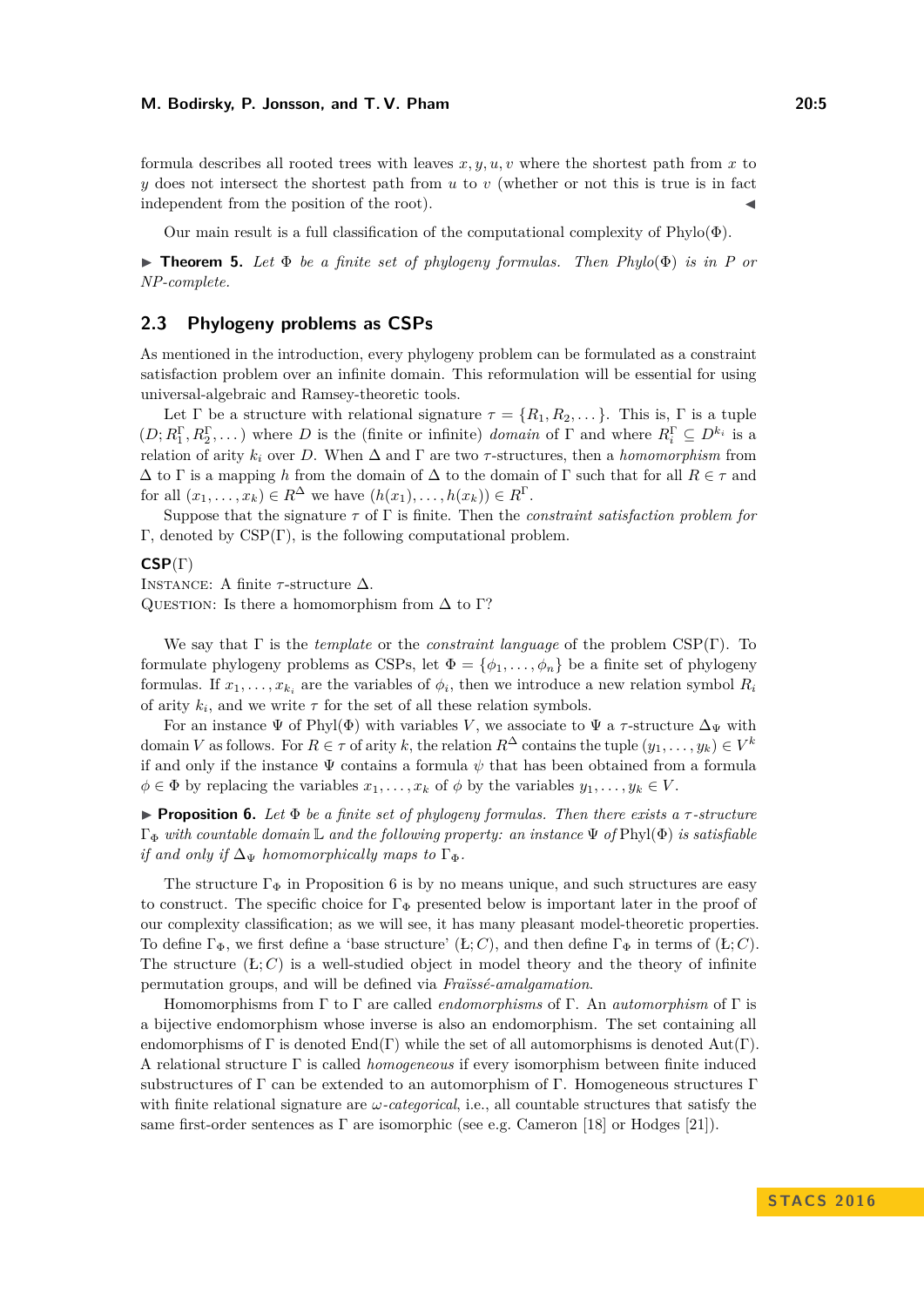formula describes all rooted trees with leaves  $x, y, u, v$  where the shortest path from x to *y* does not intersect the shortest path from *u* to *v* (whether or not this is true is in fact independent from the position of the root).

Our main result is a full classification of the computational complexity of  $Phvlo(\Phi)$ .

<span id="page-4-2"></span>**Findmen 5.** Let  $\Phi$  *be a finite set of phylogeny formulas. Then Phylo* $(\Phi)$  *is in P or NP-complete.*

# <span id="page-4-0"></span>**2.3 Phylogeny problems as CSPs**

As mentioned in the introduction, every phylogeny problem can be formulated as a constraint satisfaction problem over an infinite domain. This reformulation will be essential for using universal-algebraic and Ramsey-theoretic tools.

Let  $\Gamma$  be a structure with relational signature  $\tau = \{R_1, R_2, \dots\}$ . This is,  $\Gamma$  is a tuple  $(D; R_1^{\Gamma}, R_2^{\Gamma}, \dots)$  where *D* is the (finite or infinite) *domain* of  $\Gamma$  and where  $R_i^{\Gamma} \subseteq D^{k_i}$  is a relation of arity  $k_i$  over *D*. When  $\Delta$  and  $\Gamma$  are two  $\tau$ -structures, then a *homomorphism* from ∆ to Γ is a mapping *h* from the domain of ∆ to the domain of Γ such that for all *R* ∈ *τ* and for all  $(x_1, \ldots, x_k) \in R^{\Delta}$  we have  $(h(x_1), \ldots, h(x_k)) \in R^{\Gamma}$ .

Suppose that the signature *τ* of Γ is finite. Then the *constraint satisfaction problem for* Γ, denoted by CSP(Γ), is the following computational problem.

#### **CSP**(Γ)

INSTANCE: A finite  $\tau$ -structure  $\Delta$ .

QUESTION: Is there a homomorphism from  $\Delta$  to Γ?

We say that Γ is the *template* or the *constraint language* of the problem CSP(Γ). To formulate phylogeny problems as CSPs, let  $\Phi = {\phi_1, \ldots, \phi_n}$  be a finite set of phylogeny formulas. If  $x_1, \ldots, x_{k_i}$  are the variables of  $\phi_i$ , then we introduce a new relation symbol  $R_i$ of arity  $k_i$ , and we write  $\tau$  for the set of all these relation symbols.

For an instance  $\Psi$  of Phyl $(\Phi)$  with variables *V*, we associate to  $\Psi$  a *τ*-structure  $\Delta_{\Psi}$  with domain *V* as follows. For  $R \in \tau$  of arity *k*, the relation  $R^{\Delta}$  contains the tuple  $(y_1, \ldots, y_k) \in V^k$ if and only if the instance  $\Psi$  contains a formula  $\psi$  that has been obtained from a formula  $\phi \in \Phi$  by replacing the variables  $x_1, \ldots, x_k$  of  $\phi$  by the variables  $y_1, \ldots, y_k \in V$ .

<span id="page-4-1"></span>**Proposition 6.** Let  $\Phi$  *be a finite set of phylogeny formulas. Then there exists a*  $\tau$ -structure Γ<sup>Φ</sup> *with countable domain* L *and the following property: an instance* Ψ *of* Phyl(Φ) *is satisfiable if and only if*  $\Delta_{\Psi}$  *homomorphically maps to*  $\Gamma_{\Phi}$ *.* 

The structure  $\Gamma_{\Phi}$  in Proposition [6](#page-4-1) is by no means unique, and such structures are easy to construct. The specific choice for  $\Gamma_{\Phi}$  presented below is important later in the proof of our complexity classification; as we will see, it has many pleasant model-theoretic properties. To define  $\Gamma_{\Phi}$ , we first define a 'base structure'  $(\mathbf{L}; C)$ , and then define  $\Gamma_{\Phi}$  in terms of  $(\mathbf{L}; C)$ . The structure  $(E; C)$  is a well-studied object in model theory and the theory of infinite permutation groups, and will be defined via *Fraïssé-amalgamation*.

Homomorphisms from Γ to Γ are called *endomorphisms* of Γ. An *automorphism* of Γ is a bijective endomorphism whose inverse is also an endomorphism. The set containing all endomorphisms of  $\Gamma$  is denoted  $\text{End}(\Gamma)$  while the set of all automorphisms is denoted  $\text{Aut}(\Gamma)$ . A relational structure Γ is called *homogeneous* if every isomorphism between finite induced substructures of Γ can be extended to an automorphism of Γ. Homogeneous structures Γ with finite relational signature are *ω-categorical*, i.e., all countable structures that satisfy the same first-order sentences as  $\Gamma$  are isomorphic (see e.g. Cameron [\[18\]](#page-12-11) or Hodges [\[21\]](#page-12-12)).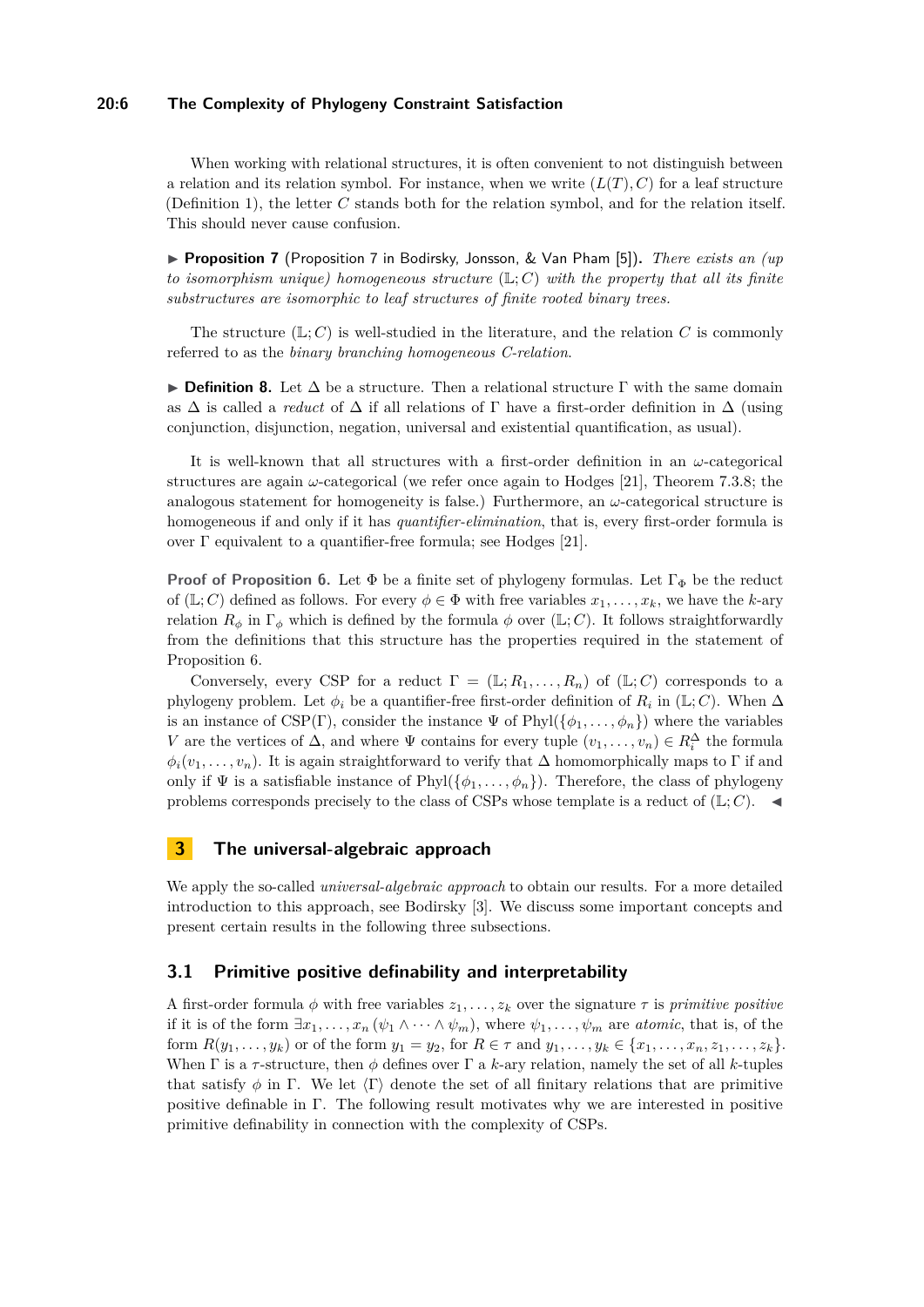# **20:6 The Complexity of Phylogeny Constraint Satisfaction**

When working with relational structures, it is often convenient to not distinguish between a relation and its relation symbol. For instance, when we write  $(L(T), C)$  for a leaf structure (Definition [1\)](#page-3-1), the letter *C* stands both for the relation symbol, and for the relation itself. This should never cause confusion.

▶ **Proposition 7** (Proposition 7 in Bodirsky, Jonsson, & Van Pham [\[5\]](#page-12-5)). *There exists an (up to isomorphism unique) homogeneous structure* (L; *C*) *with the property that all its finite substructures are isomorphic to leaf structures of finite rooted binary trees.*

The structure  $(\mathbb{L}; C)$  is well-studied in the literature, and the relation C is commonly referred to as the *binary branching homogeneous C-relation*.

**► Definition 8.** Let  $\Delta$  be a structure. Then a relational structure  $\Gamma$  with the same domain as  $\Delta$  is called a *reduct* of  $\Delta$  if all relations of  $\Gamma$  have a first-order definition in  $\Delta$  (using conjunction, disjunction, negation, universal and existential quantification, as usual).

It is well-known that all structures with a first-order definition in an *ω*-categorical structures are again *ω*-categorical (we refer once again to Hodges [\[21\]](#page-12-12), Theorem 7.3.8; the analogous statement for homogeneity is false.) Furthermore, an *ω*-categorical structure is homogeneous if and only if it has *quantifier-elimination*, that is, every first-order formula is over Γ equivalent to a quantifier-free formula; see Hodges [\[21\]](#page-12-12).

**Proof of Proposition [6.](#page-4-1)** Let  $\Phi$  be a finite set of phylogeny formulas. Let  $\Gamma_{\Phi}$  be the reduct of (L; C) defined as follows. For every  $\phi \in \Phi$  with free variables  $x_1, \ldots, x_k$ , we have the *k*-ary relation  $R_{\phi}$  in  $\Gamma_{\phi}$  which is defined by the formula  $\phi$  over (L; *C*). It follows straightforwardly from the definitions that this structure has the properties required in the statement of Proposition [6.](#page-4-1)

Conversely, every CSP for a reduct  $\Gamma = (\mathbb{L}; R_1, \ldots, R_n)$  of  $(\mathbb{L}; C)$  corresponds to a phylogeny problem. Let  $\phi_i$  be a quantifier-free first-order definition of  $R_i$  in (L; *C*). When  $\Delta$ is an instance of CSP(Γ), consider the instance  $\Psi$  of Phyl( $\{\phi_1, \ldots, \phi_n\}$ ) where the variables *V* are the vertices of  $\Delta$ , and where  $\Psi$  contains for every tuple  $(v_1, \ldots, v_n) \in R_i^{\Delta}$  the formula  $\phi_i(v_1,\ldots,v_n)$ . It is again straightforward to verify that  $\Delta$  homomorphically maps to Γ if and only if  $\Psi$  is a satisfiable instance of Phyl $(\{\phi_1, \ldots, \phi_n\})$ . Therefore, the class of phylogeny problems corresponds precisely to the class of CSPs whose template is a reduct of  $(\mathbb{L}; C)$ .

# <span id="page-5-0"></span>**3 The universal-algebraic approach**

We apply the so-called *universal-algebraic approach* to obtain our results. For a more detailed introduction to this approach, see Bodirsky [\[3\]](#page-11-1). We discuss some important concepts and present certain results in the following three subsections.

### **3.1 Primitive positive definability and interpretability**

A first-order formula  $\phi$  with free variables  $z_1, \ldots, z_k$  over the signature  $\tau$  is *primitive positive* if it is of the form  $\exists x_1, \ldots, x_n$  ( $\psi_1 \wedge \cdots \wedge \psi_m$ ), where  $\psi_1, \ldots, \psi_m$  are *atomic*, that is, of the form  $R(y_1,\ldots,y_k)$  or of the form  $y_1 = y_2$ , for  $R \in \tau$  and  $y_1,\ldots,y_k \in \{x_1,\ldots,x_n,z_1,\ldots,z_k\}.$ When  $\Gamma$  is a  $\tau$ -structure, then  $\phi$  defines over  $\Gamma$  a *k*-ary relation, namely the set of all *k*-tuples that satisfy  $\phi$  in Γ. We let  $\langle \Gamma \rangle$  denote the set of all finitary relations that are primitive positive definable in Γ. The following result motivates why we are interested in positive primitive definability in connection with the complexity of CSPs.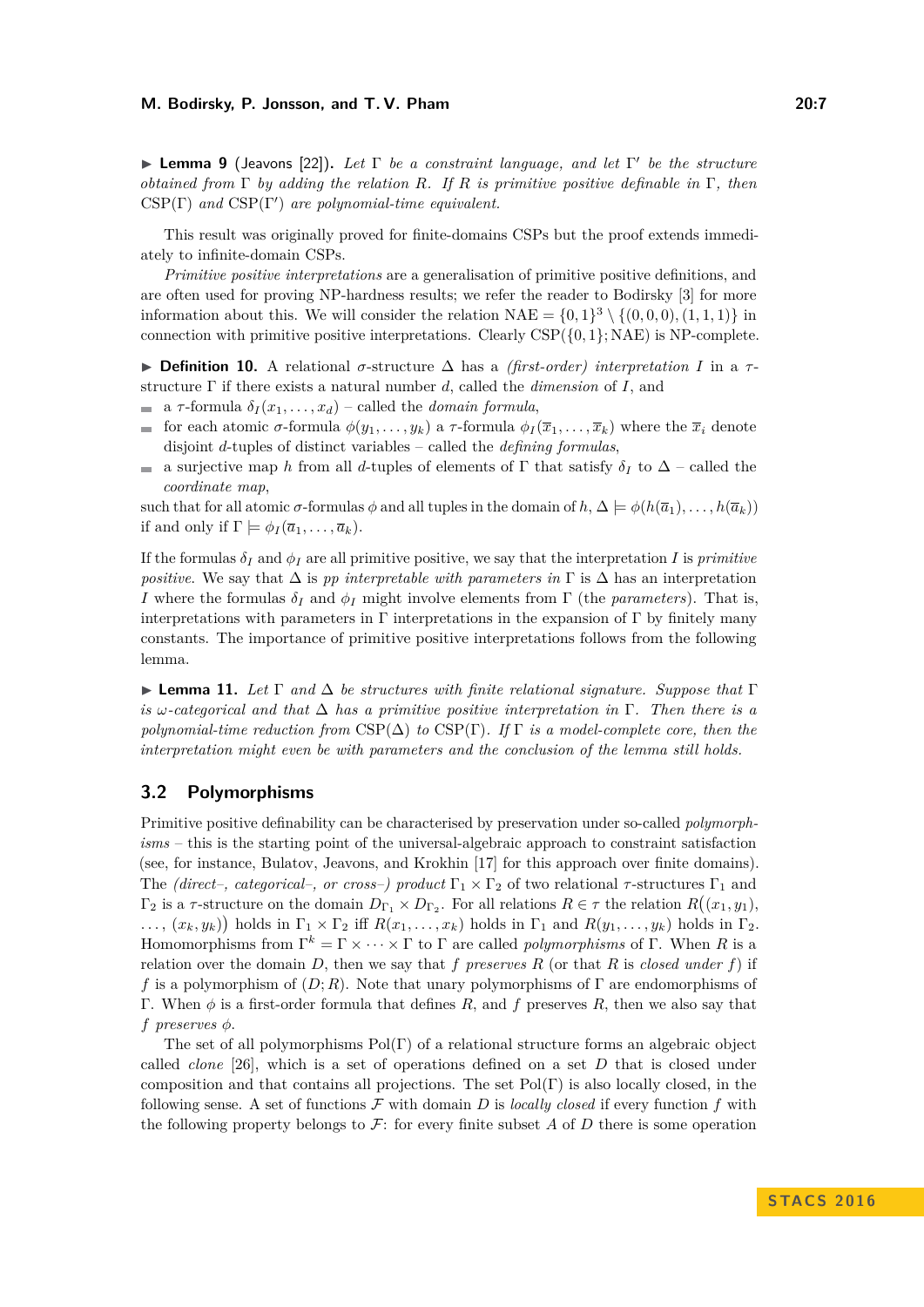**Lemma 9** (Jeavons [\[22\]](#page-12-13)). Let Γ be a constraint language, and let Γ' be the structure *obtained from* Γ *by adding the relation R. If R is primitive positive definable in* Γ*, then*  $CSP(\Gamma)$  and  $CSP(\Gamma')$  are polynomial-time equivalent.

This result was originally proved for finite-domains CSPs but the proof extends immediately to infinite-domain CSPs.

*Primitive positive interpretations* are a generalisation of primitive positive definitions, and are often used for proving NP-hardness results; we refer the reader to Bodirsky [\[3\]](#page-11-1) for more information about this. We will consider the relation  $NAE = \{0, 1\}^3 \setminus \{(0, 0, 0), (1, 1, 1)\}$  in connection with primitive positive interpretations. Clearly  $CSP({0,1};\text{NAE})$  is NP-complete.

I **Definition 10.** A relational *σ*-structure ∆ has a *(first-order) interpretation I* in a *τ* structure Γ if there exists a natural number *d*, called the *dimension* of *I*, and

- a  $\tau$ -formula  $\delta_I(x_1,\ldots,x_d)$  called the *domain formula*,  $\blacksquare$
- for each atomic *σ*-formula *φ*(*y*1*, . . . , yk*) a *τ* -formula *φ<sup>I</sup>* (*x*1*, . . . , xk*) where the *x<sup>i</sup>* denote  $\blacksquare$ disjoint *d*-tuples of distinct variables – called the *defining formulas*,
- a surjective map *h* from all *d*-tuples of elements of  $\Gamma$  that satisfy  $\delta_I$  to  $\Delta$  called the  $\sim$ *coordinate map*,

such that for all atomic  $\sigma$ -formulas  $\phi$  and all tuples in the domain of  $h, \Delta \models \phi(h(\overline{a}_1), \ldots, h(\overline{a}_k))$ if and only if  $\Gamma \models \phi_I(\overline{a}_1, \ldots, \overline{a}_k)$ .

If the formulas  $\delta_I$  and  $\phi_I$  are all primitive positive, we say that the interpretation *I* is *primitive positive.* We say that  $\Delta$  is *pp interpretable with parameters in* Γ is  $\Delta$  has an interpretation *I* where the formulas *δ<sup>I</sup>* and *φ<sup>I</sup>* might involve elements from Γ (the *parameters*). That is, interpretations with parameters in  $\Gamma$  interpretations in the expansion of  $\Gamma$  by finitely many constants. The importance of primitive positive interpretations follows from the following lemma.

I **Lemma 11.** *Let* Γ *and* ∆ *be structures with finite relational signature. Suppose that* Γ *is ω-categorical and that* ∆ *has a primitive positive interpretation in* Γ*. Then there is a polynomial-time reduction from* CSP(∆) *to* CSP(Γ)*. If* Γ *is a model-complete core, then the interpretation might even be with parameters and the conclusion of the lemma still holds.*

# **3.2 Polymorphisms**

Primitive positive definability can be characterised by preservation under so-called *polymorphisms* – this is the starting point of the universal-algebraic approach to constraint satisfaction (see, for instance, Bulatov, Jeavons, and Krokhin [\[17\]](#page-12-14) for this approach over finite domains). The *(direct–, categorical–, or cross–) product*  $\Gamma_1 \times \Gamma_2$  of two relational  $\tau$ -structures  $\Gamma_1$  and  $\Gamma_2$  is a *τ*-structure on the domain  $D_{\Gamma_1} \times D_{\Gamma_2}$ . For all relations  $R \in \tau$  the relation  $R((x_1, y_1),$  $\ldots$ ,  $(x_k, y_k)$  holds in  $\Gamma_1 \times \Gamma_2$  iff  $R(x_1, \ldots, x_k)$  holds in  $\Gamma_1$  and  $R(y_1, \ldots, y_k)$  holds in  $\Gamma_2$ . Homomorphisms from  $\Gamma^k = \Gamma \times \cdots \times \Gamma$  to  $\Gamma$  are called *polymorphisms* of  $\Gamma$ . When *R* is a relation over the domain  $D$ , then we say that  $f$  *preserves*  $R$  (or that  $R$  is *closed under*  $f$ ) if *f* is a polymorphism of (*D*; *R*). Note that unary polymorphisms of Γ are endomorphisms of Γ. When *φ* is a first-order formula that defines *R*, and *f* preserves *R*, then we also say that *f preserves φ*.

The set of all polymorphisms  $Pol(\Gamma)$  of a relational structure forms an algebraic object called *clone* [\[26\]](#page-12-15), which is a set of operations defined on a set *D* that is closed under composition and that contains all projections. The set  $Pol(\Gamma)$  is also locally closed, in the following sense. A set of functions  $\mathcal F$  with domain  $D$  is *locally closed* if every function  $f$  with the following property belongs to  $\mathcal{F}$ : for every finite subset A of D there is some operation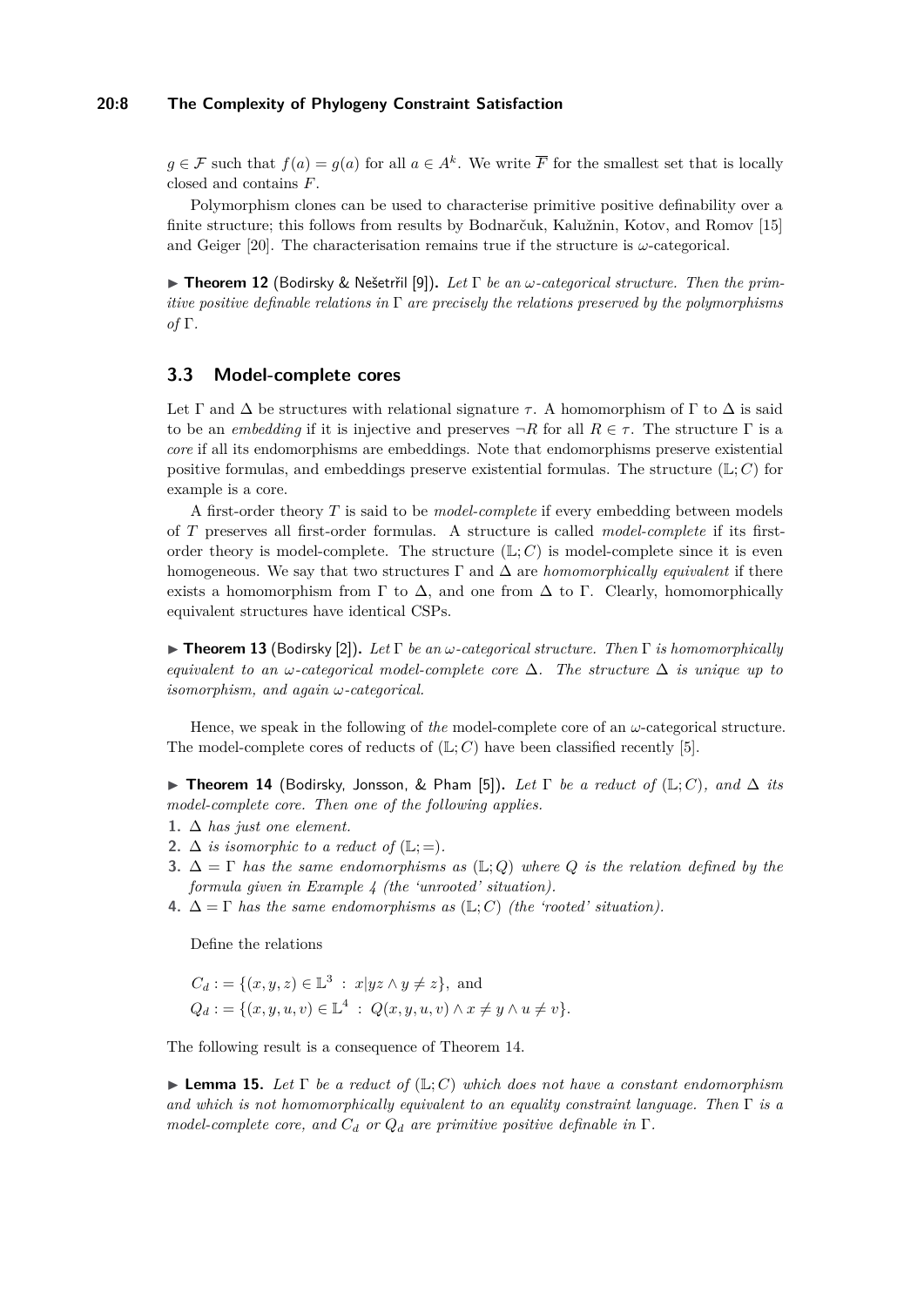# **20:8 The Complexity of Phylogeny Constraint Satisfaction**

*g* ∈ F such that  $f(a) = g(a)$  for all  $a \in A^k$ . We write  $\overline{F}$  for the smallest set that is locally closed and contains *F*.

Polymorphism clones can be used to characterise primitive positive definability over a finite structure; this follows from results by Bodnarčuk, Kalužnin, Kotov, and Romov [\[15\]](#page-12-16) and Geiger [\[20\]](#page-12-17). The characterisation remains true if the structure is  $\omega$ -categorical.

<span id="page-7-1"></span>I **Theorem 12** (Bodirsky & Nešetrřil [\[9\]](#page-12-18))**.** *Let* Γ *be an ω-categorical structure. Then the primitive positive definable relations in* Γ *are precisely the relations preserved by the polymorphisms of* Γ*.*

# **3.3 Model-complete cores**

Let  $\Gamma$  and  $\Delta$  be structures with relational signature  $\tau$ . A homomorphism of  $\Gamma$  to  $\Delta$  is said to be an *embedding* if it is injective and preserves  $\neg R$  for all  $R \in \tau$ . The structure  $\Gamma$  is a *core* if all its endomorphisms are embeddings. Note that endomorphisms preserve existential positive formulas, and embeddings preserve existential formulas. The structure  $(\mathbb{L}; C)$  for example is a core.

A first-order theory *T* is said to be *model-complete* if every embedding between models of *T* preserves all first-order formulas. A structure is called *model-complete* if its firstorder theory is model-complete. The structure  $(\mathbb{L}; C)$  is model-complete since it is even homogeneous. We say that two structures  $\Gamma$  and  $\Delta$  are *homomorphically equivalent* if there exists a homomorphism from  $\Gamma$  to  $\Delta$ , and one from  $\Delta$  to  $\Gamma$ . Clearly, homomorphically equivalent structures have identical CSPs.

<span id="page-7-2"></span>**Figure 13** (Bodirsky [\[2\]](#page-11-2)). Let  $\Gamma$  be an  $\omega$ -categorical structure. Then  $\Gamma$  is homomorphically *equivalent to an*  $\omega$ -categorical model-complete core  $\Delta$ . The structure  $\Delta$  *is unique up to isomorphism, and again ω-categorical.*

Hence, we speak in the following of *the* model-complete core of an  $\omega$ -categorical structure. The model-complete cores of reducts of  $(L; C)$  have been classified recently [\[5\]](#page-12-5).

<span id="page-7-0"></span>**► Theorem 14** (Bodirsky, Jonsson, & Pham [\[5\]](#page-12-5)). Let  $\Gamma$  be a reduct of  $(\mathbb{L}; C)$ , and  $\Delta$  *its model-complete core. Then one of the following applies.*

- 1.  $\Delta$  *has just one element.*
- 2.  $\Delta$  *is isomorphic to a reduct of* ( $\mathbb{L}; =$ ).
- **3.** ∆ = Γ *has the same endomorphisms as* (L; *Q*) *where Q is the relation defined by the formula given in Example [4](#page-3-2) (the 'unrooted' situation).*
- **4.**  $\Delta = \Gamma$  has the same endomorphisms as  $(\mathbb{L}; C)$  (the 'rooted' situation).

Define the relations

$$
C_d := \{ (x, y, z) \in \mathbb{L}^3 : x|yz \wedge y \neq z \}, \text{ and}
$$
  
\n
$$
Q_d := \{ (x, y, u, v) \in \mathbb{L}^4 : Q(x, y, u, v) \wedge x \neq y \wedge u \neq v \}.
$$

The following result is a consequence of Theorem [14.](#page-7-0)

<span id="page-7-3"></span>**Lemma 15.** *Let*  $\Gamma$  *be a reduct of* ( $\mathbb{L}: C$ ) *which does not have a constant endomorphism and which is not homomorphically equivalent to an equality constraint language. Then* Γ *is a model-complete core, and C<sup>d</sup> or Q<sup>d</sup> are primitive positive definable in* Γ*.*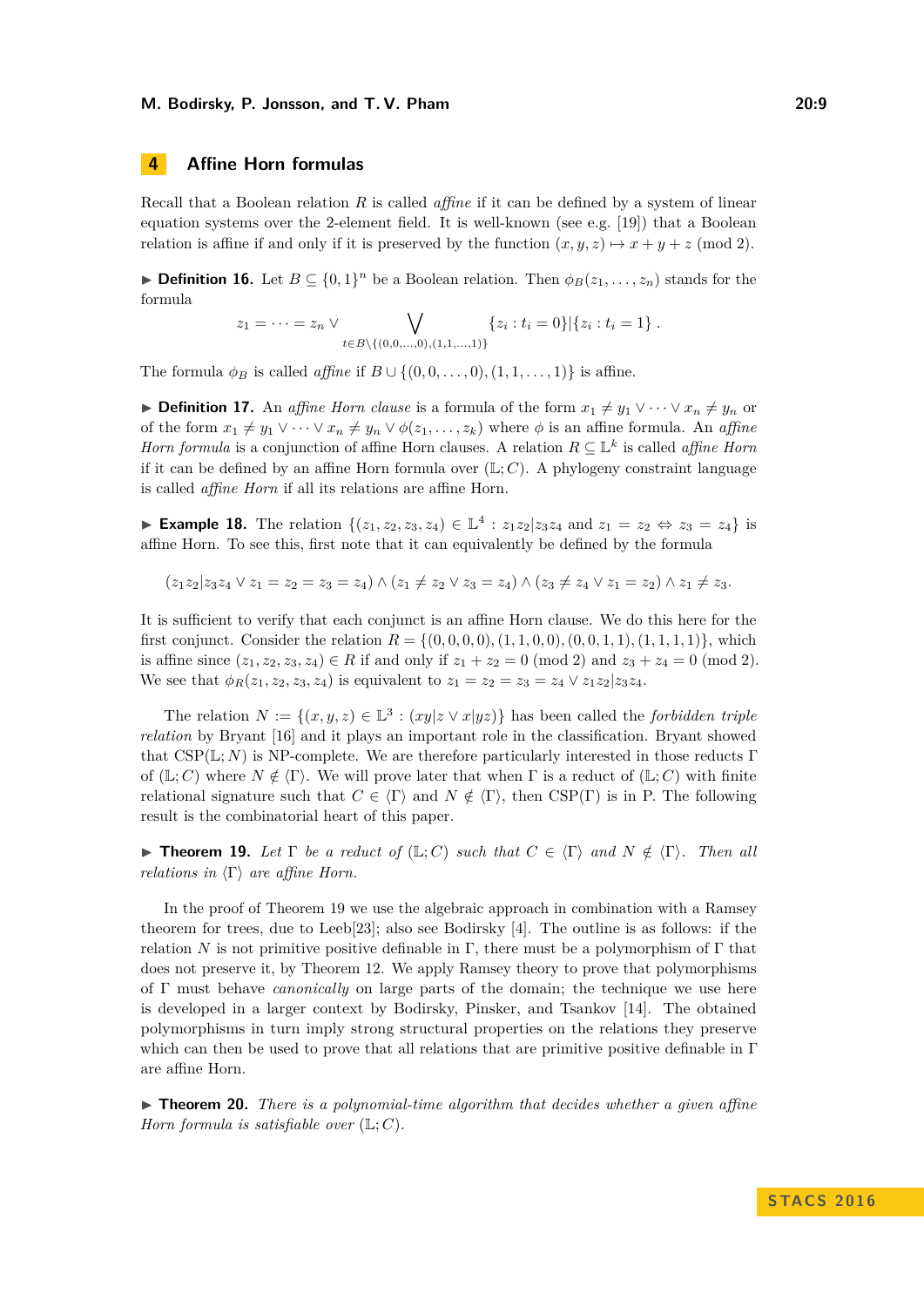# <span id="page-8-0"></span>**4 Affine Horn formulas**

Recall that a Boolean relation *R* is called *affine* if it can be defined by a system of linear equation systems over the 2-element field. It is well-known (see e.g. [\[19\]](#page-12-19)) that a Boolean relation is affine if and only if it is preserved by the function  $(x, y, z) \mapsto x + y + z \pmod{2}$ .

**► Definition 16.** Let  $B \subseteq \{0,1\}^n$  be a Boolean relation. Then  $\phi_B(z_1,\ldots,z_n)$  stands for the formula

$$
z_1 = \cdots = z_n \vee \bigvee_{t \in B \setminus \{(0,0,\dots,0),(1,1,\dots,1)\}} \{z_i : t_i = 0\} | \{z_i : t_i = 1\}.
$$

The formula  $\phi_B$  is called *affine* if  $B \cup \{(0,0,\ldots,0), (1,1,\ldots,1)\}$  is affine.

**► Definition 17.** An *affine Horn clause* is a formula of the form  $x_1 \neq y_1 \vee \cdots \vee x_n \neq y_n$  or of the form  $x_1 \neq y_1 \vee \cdots \vee x_n \neq y_n \vee \phi(z_1, \ldots, z_k)$  where  $\phi$  is an affine formula. An *affine Horn formula* is a conjunction of affine Horn clauses. A relation  $R \subseteq \mathbb{L}^k$  is called *affine Horn* if it can be defined by an affine Horn formula over  $(\mathbb{L}; C)$ . A phylogeny constraint language is called *affine Horn* if all its relations are affine Horn.

► **Example 18.** The relation  $\{(z_1, z_2, z_3, z_4) \in \mathbb{L}^4 : z_1z_2|z_3z_4 \text{ and } z_1 = z_2 \Leftrightarrow z_3 = z_4\}$  is affine Horn. To see this, first note that it can equivalently be defined by the formula

 $(z_1 z_2 | z_3 z_4 \vee z_1 = z_2 = z_3 = z_4) \wedge (z_1 \neq z_2 \vee z_3 = z_4) \wedge (z_3 \neq z_4 \vee z_1 = z_2) \wedge z_1 \neq z_3.$ 

It is sufficient to verify that each conjunct is an affine Horn clause. We do this here for the first conjunct. Consider the relation  $R = \{(0,0,0,0), (1,1,0,0), (0,0,1,1), (1,1,1,1)\}\,$ , which is affine since  $(z_1, z_2, z_3, z_4) \in R$  if and only if  $z_1 + z_2 = 0 \pmod{2}$  and  $z_3 + z_4 = 0 \pmod{2}$ . We see that  $\phi_R(z_1, z_2, z_3, z_4)$  is equivalent to  $z_1 = z_2 = z_3 = z_4 \vee z_1 z_2 | z_3 z_4$ .

The relation  $N := \{(x, y, z) \in \mathbb{L}^3 : (xy|z \vee x|yz)\}\$  has been called the *forbidden triple relation* by Bryant [\[16\]](#page-12-2) and it plays an important role in the classification. Bryant showed that  $CSP(L; N)$  is NP-complete. We are therefore particularly interested in those reducts Γ of  $(\mathbb{L}; C)$  where  $N \notin \langle \Gamma \rangle$ . We will prove later that when  $\Gamma$  is a reduct of  $(\mathbb{L}; C)$  with finite relational signature such that  $C \in \langle \Gamma \rangle$  and  $N \notin \langle \Gamma \rangle$ , then CSP(Γ) is in P. The following result is the combinatorial heart of this paper.

<span id="page-8-1"></span>**Figure 19.** *Let*  $\Gamma$  *be a reduct of*  $(\mathbb{L}; C)$  *such that*  $C \in \langle \Gamma \rangle$  *and*  $N \notin \langle \Gamma \rangle$ *. Then all relations in*  $\langle \Gamma \rangle$  *are affine Horn.* 

In the proof of Theorem [19](#page-8-1) we use the algebraic approach in combination with a Ramsey theorem for trees, due to Leeb[\[23\]](#page-12-7); also see Bodirsky [\[4\]](#page-12-20). The outline is as follows: if the relation *N* is not primitive positive definable in Γ, there must be a polymorphism of Γ that does not preserve it, by Theorem [12.](#page-7-1) We apply Ramsey theory to prove that polymorphisms of Γ must behave *canonically* on large parts of the domain; the technique we use here is developed in a larger context by Bodirsky, Pinsker, and Tsankov [\[14\]](#page-12-21). The obtained polymorphisms in turn imply strong structural properties on the relations they preserve which can then be used to prove that all relations that are primitive positive definable in Γ are affine Horn.

<span id="page-8-2"></span> $\triangleright$  **Theorem 20.** *There is a polynomial-time algorithm that decides whether a given affine Horn formula is satisfiable over*  $(\mathbb{L}; C)$ *.*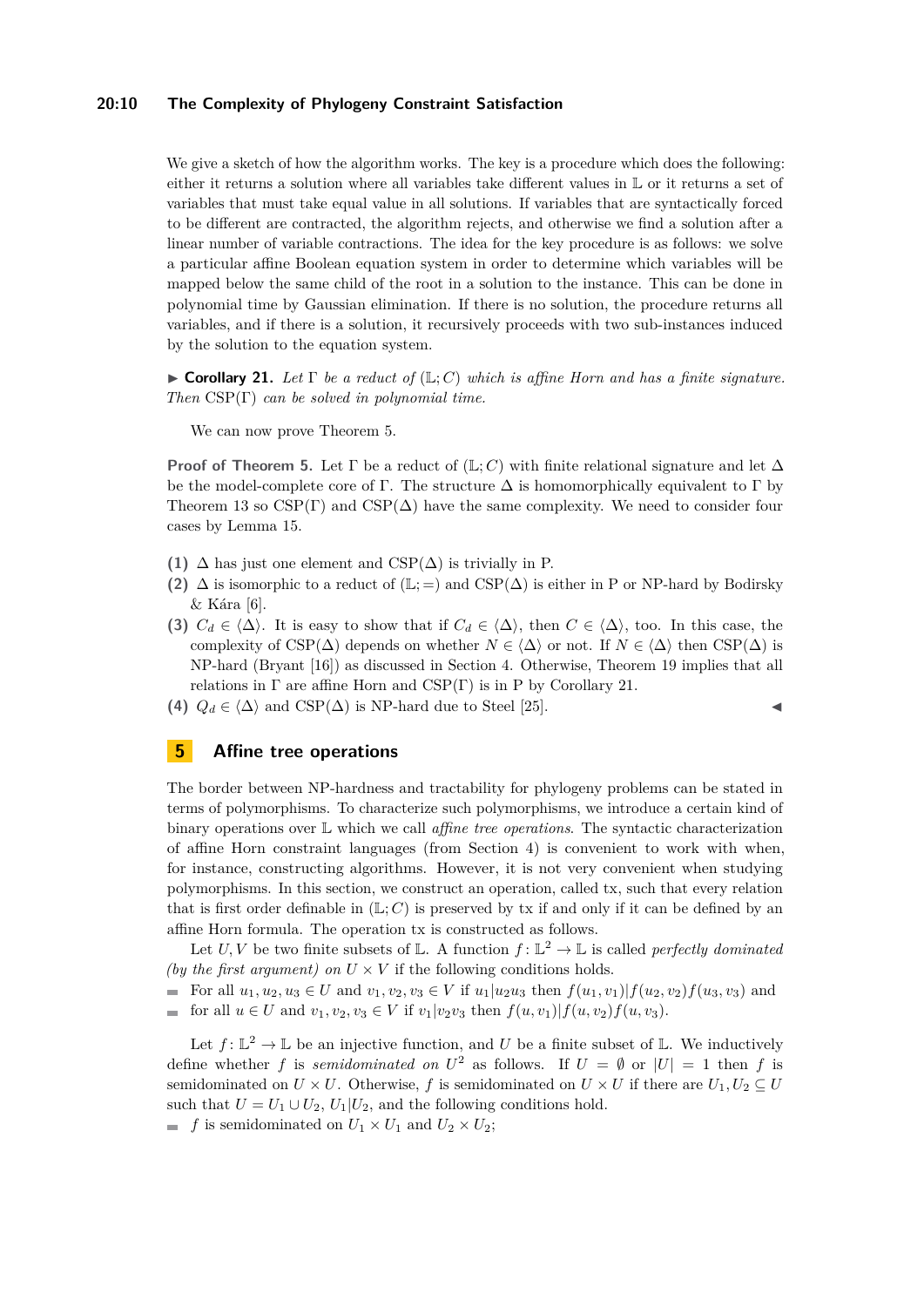#### **20:10 The Complexity of Phylogeny Constraint Satisfaction**

We give a sketch of how the algorithm works. The key is a procedure which does the following: either it returns a solution where all variables take different values in L or it returns a set of variables that must take equal value in all solutions. If variables that are syntactically forced to be different are contracted, the algorithm rejects, and otherwise we find a solution after a linear number of variable contractions. The idea for the key procedure is as follows: we solve a particular affine Boolean equation system in order to determine which variables will be mapped below the same child of the root in a solution to the instance. This can be done in polynomial time by Gaussian elimination. If there is no solution, the procedure returns all variables, and if there is a solution, it recursively proceeds with two sub-instances induced by the solution to the equation system.

<span id="page-9-1"></span>**Corollary 21.** Let  $\Gamma$  be a reduct of  $(\mathbb{L}; C)$  which is affine Horn and has a finite signature. *Then* CSP(Γ) *can be solved in polynomial time.*

We can now prove Theorem [5.](#page-4-2)

**Proof of Theorem [5.](#page-4-2)** Let  $\Gamma$  be a reduct of ( $\mathbb{L}; C$ ) with finite relational signature and let  $\Delta$ be the model-complete core of Γ. The structure  $\Delta$  is homomorphically equivalent to Γ by Theorem [13](#page-7-2) so  $CSP(\Gamma)$  and  $CSP(\Delta)$  have the same complexity. We need to consider four cases by Lemma [15.](#page-7-3)

- **(1)** ∆ has just one element and CSP(∆) is trivially in P.
- (2)  $\Delta$  is isomorphic to a reduct of  $(\mathbb{L}; =)$  and CSP( $\Delta$ ) is either in P or NP-hard by Bodirsky & Kára [\[6\]](#page-12-6).
- **(3)**  $C_d \in \langle \Delta \rangle$ . It is easy to show that if  $C_d \in \langle \Delta \rangle$ , then  $C \in \langle \Delta \rangle$ , too. In this case, the complexity of CSP( $\Delta$ ) depends on whether  $N \in \langle \Delta \rangle$  or not. If  $N \in \langle \Delta \rangle$  then CSP( $\Delta$ ) is NP-hard (Bryant [\[16\]](#page-12-2)) as discussed in Section [4.](#page-8-0) Otherwise, Theorem [19](#page-8-1) implies that all relations in  $\Gamma$  are affine Horn and  $CSP(\Gamma)$  is in P by Corollary [21.](#page-9-1)
- **(4)**  $Q_d \in \langle \Delta \rangle$  and CSP( $\Delta$ ) is NP-hard due to Steel [\[25\]](#page-12-4).

# <span id="page-9-0"></span>**5 Affine tree operations**

The border between NP-hardness and tractability for phylogeny problems can be stated in terms of polymorphisms. To characterize such polymorphisms, we introduce a certain kind of binary operations over L which we call *affine tree operations*. The syntactic characterization of affine Horn constraint languages (from Section [4\)](#page-8-0) is convenient to work with when, for instance, constructing algorithms. However, it is not very convenient when studying polymorphisms. In this section, we construct an operation, called tx, such that every relation that is first order definable in  $(\mathbb{L}; C)$  is preserved by tx if and only if it can be defined by an affine Horn formula. The operation tx is constructed as follows.

Let *U*, *V* be two finite subsets of L. A function  $f: \mathbb{L}^2 \to \mathbb{L}$  is called *perfectly dominated (by the first argument) on*  $U \times V$  if the following conditions holds.

- For all  $u_1, u_2, u_3 \in U$  and  $v_1, v_2, v_3 \in V$  if  $u_1 | u_2 u_3$  then  $f(u_1, v_1) | f(u_2, v_2) f(u_3, v_3)$  and
- for all  $u \in U$  and  $v_1, v_2, v_3 \in V$  if  $v_1|v_2v_3$  then  $f(u, v_1)|f(u, v_2)f(u, v_3)$ .  $\equiv$

Let  $f: \mathbb{L}^2 \to \mathbb{L}$  be an injective function, and *U* be a finite subset of L. We inductively define whether *f* is *semidominated on*  $U^2$  as follows. If  $U = \emptyset$  or  $|U| = 1$  then *f* is semidominated on  $U \times U$ . Otherwise, f is semidominated on  $U \times U$  if there are  $U_1, U_2 \subseteq U$ such that  $U = U_1 \cup U_2$ ,  $U_1 | U_2$ , and the following conditions hold.

 $f$  is semidominated on  $U_1 \times U_1$  and  $U_2 \times U_2$ ;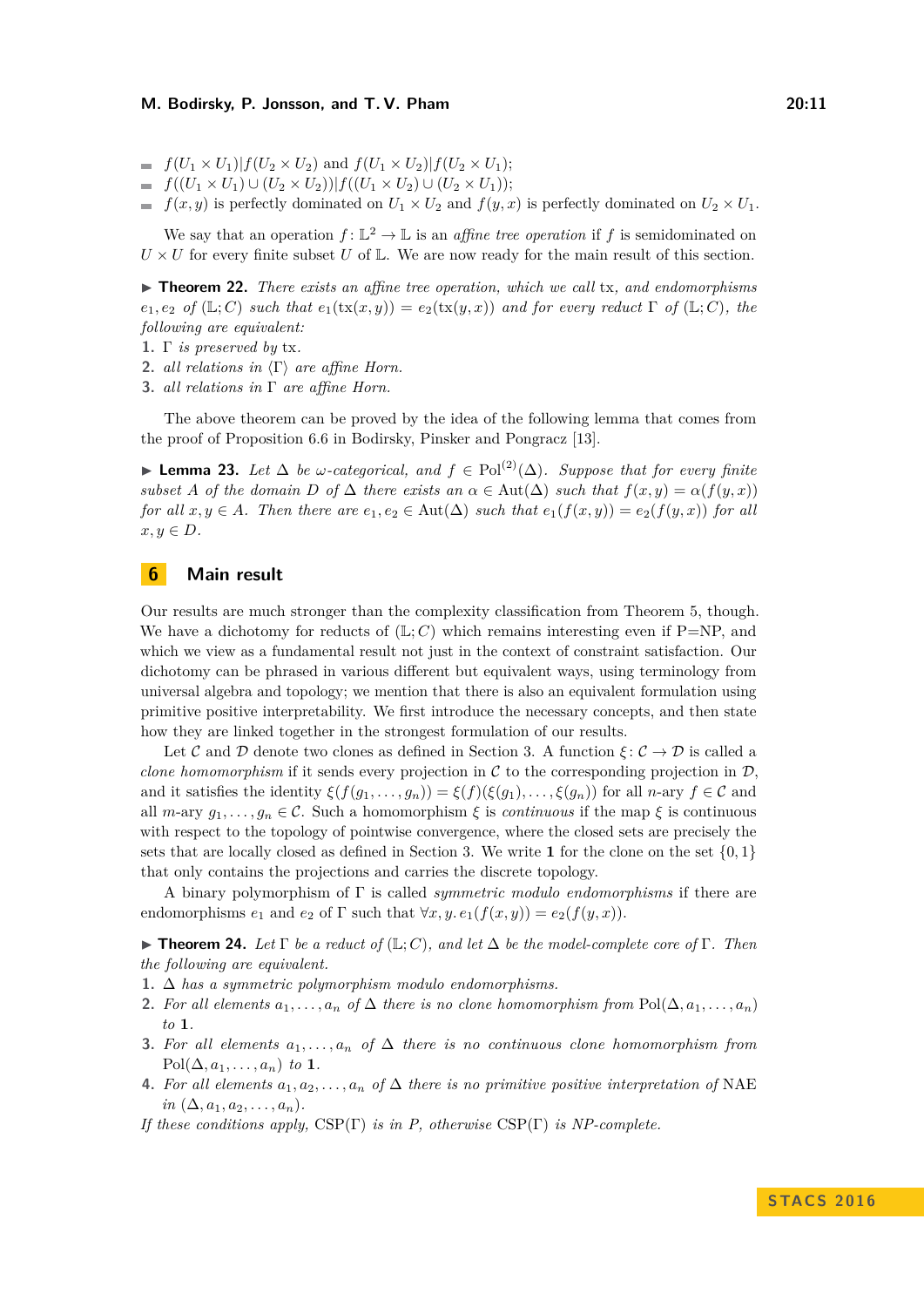- $f(U_1 \times U_1) | f(U_2 \times U_2)$  and  $f(U_1 \times U_2) | f(U_2 \times U_1)$ ;
- $= f((U_1 \times U_1) \cup (U_2 \times U_2)) | f((U_1 \times U_2) \cup (U_2 \times U_1));$
- *f*(*x, y*) is perfectly dominated on  $U_1 \times U_2$  and  $f(y, x)$  is perfectly dominated on  $U_2 \times U_1$ .

We say that an operation  $f: \mathbb{L}^2 \to \mathbb{L}$  is an *affine tree operation* if f is semidominated on  $U \times U$  for every finite subset *U* of  $\mathbb{L}$ . We are now ready for the main result of this section.

<span id="page-10-2"></span>▶ **Theorem 22.** *There exists an affine tree operation, which we call* tx, and endomorphisms  $e_1, e_2$  *of* ( $\mathbb{L}; C$ ) *such that*  $e_1(\text{tx}(x, y)) = e_2(\text{tx}(y, x))$  *and for every reduct*  $\Gamma$  *of* ( $\mathbb{L}; C$ )*, the following are equivalent:*

- **1.** Γ *is preserved by* tx*.*
- **2.** *all relations in*  $\langle \Gamma \rangle$  *are affine Horn.*
- **3.** *all relations in* Γ *are affine Horn.*

The above theorem can be proved by the idea of the following lemma that comes from the proof of Proposition 6.6 in Bodirsky, Pinsker and Pongracz [\[13\]](#page-12-22).

**► Lemma 23.** Let  $\Delta$  be *w*-categorical, and  $f \in \text{Pol}^{(2)}(\Delta)$ . Suppose that for every finite *subset A of the domain D of*  $\Delta$  *there exists an*  $\alpha \in Aut(\Delta)$  *such that*  $f(x, y) = \alpha(f(y, x))$ *for all*  $x, y \in A$ *. Then there are*  $e_1, e_2 \in \text{Aut}(\Delta)$  *such that*  $e_1(f(x, y)) = e_2(f(y, x))$  *for all*  $x, y \in D$ *.* 

# <span id="page-10-1"></span>**6 Main result**

Our results are much stronger than the complexity classification from Theorem [5,](#page-4-2) though. We have a dichotomy for reducts of  $(L; C)$  which remains interesting even if P=NP, and which we view as a fundamental result not just in the context of constraint satisfaction. Our dichotomy can be phrased in various different but equivalent ways, using terminology from universal algebra and topology; we mention that there is also an equivalent formulation using primitive positive interpretability. We first introduce the necessary concepts, and then state how they are linked together in the strongest formulation of our results.

Let C and D denote two clones as defined in Section [3.](#page-5-0) A function  $\xi: \mathcal{C} \to \mathcal{D}$  is called a *clone homomorphism* if it sends every projection in  $C$  to the corresponding projection in  $D$ , and it satisfies the identity  $\xi(f(g_1, \ldots, g_n)) = \xi(f)(\xi(g_1), \ldots, \xi(g_n))$  for all *n*-ary  $f \in \mathcal{C}$  and all  $m$ -ary  $g_1, \ldots, g_n \in \mathcal{C}$ . Such a homomorphism  $\xi$  is *continuous* if the map  $\xi$  is continuous with respect to the topology of pointwise convergence, where the closed sets are precisely the sets that are locally closed as defined in Section [3.](#page-5-0) We write 1 for the clone on the set  $\{0,1\}$ that only contains the projections and carries the discrete topology.

A binary polymorphism of Γ is called *symmetric modulo endomorphisms* if there are endomorphisms  $e_1$  and  $e_2$  of  $\Gamma$  such that  $\forall x, y, e_1(f(x, y)) = e_2(f(y, x)).$ 

<span id="page-10-0"></span>**► Theorem 24.** Let  $\Gamma$  be a reduct of  $(\mathbb{L}; C)$ , and let  $\Delta$  be the model-complete core of  $\Gamma$ . Then *the following are equivalent.*

- **1.** ∆ *has a symmetric polymorphism modulo endomorphisms.*
- **2.** For all elements  $a_1, \ldots, a_n$  of  $\Delta$  there is no clone homomorphism from  $Pol(\Delta, a_1, \ldots, a_n)$ *to* **1***.*
- **3.** For all elements  $a_1, \ldots, a_n$  of  $\Delta$  there is no continuous clone homomorphism from  $Pol(\Delta, a_1, \ldots, a_n)$  *to* **1***.*
- **4.** *For all elements*  $a_1, a_2, \ldots, a_n$  *of*  $\Delta$  *there is no primitive positive interpretation of* NAE  $in (\Delta, a_1, a_2, \ldots, a_n).$

*If these conditions apply,* CSP(Γ) *is in P, otherwise* CSP(Γ) *is NP-complete.*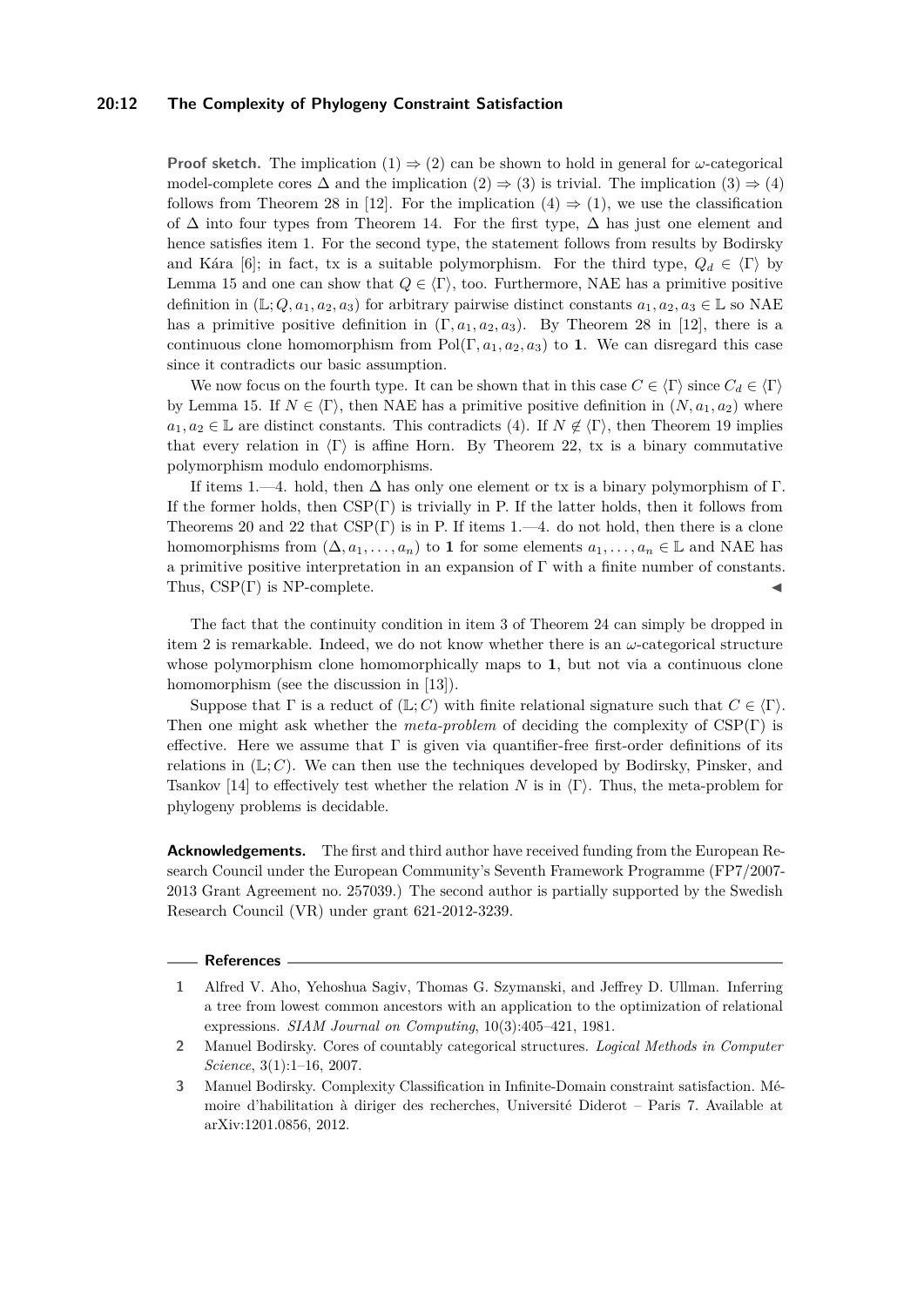#### **20:12 The Complexity of Phylogeny Constraint Satisfaction**

**Proof sketch.** The implication  $(1) \Rightarrow (2)$  can be shown to hold in general for *ω*-categorical model-complete cores  $\Delta$  and the implication  $(2) \Rightarrow (3)$  is trivial. The implication  $(3) \Rightarrow (4)$ follows from Theorem 28 in [\[12\]](#page-12-23). For the implication  $(4) \Rightarrow (1)$ , we use the classification of  $\Delta$  into four types from Theorem [14.](#page-7-0) For the first type,  $\Delta$  has just one element and hence satisfies item 1. For the second type, the statement follows from results by Bodirsky and Kára [\[6\]](#page-12-6); in fact, tx is a suitable polymorphism. For the third type,  $Q_d \in \langle \Gamma \rangle$  by Lemma [15](#page-7-3) and one can show that  $Q \in \langle \Gamma \rangle$ , too. Furthermore, NAE has a primitive positive definition in  $(\mathbb{L}; Q, a_1, a_2, a_3)$  for arbitrary pairwise distinct constants  $a_1, a_2, a_3 \in \mathbb{L}$  so NAE has a primitive positive definition in  $(\Gamma, a_1, a_2, a_3)$ . By Theorem 28 in [\[12\]](#page-12-23), there is a continuous clone homomorphism from  $Pol(\Gamma, a_1, a_2, a_3)$  to **1**. We can disregard this case since it contradicts our basic assumption.

We now focus on the fourth type. It can be shown that in this case  $C \in \langle \Gamma \rangle$  since  $C_d \in \langle \Gamma \rangle$ by Lemma [15.](#page-7-3) If  $N \in \langle \Gamma \rangle$ , then NAE has a primitive positive definition in  $(N, a_1, a_2)$  where  $a_1, a_2 \in \mathbb{L}$  are distinct constants. This contradicts (4). If  $N \notin \langle \Gamma \rangle$ , then Theorem [19](#page-8-1) implies that every relation in  $\langle \Gamma \rangle$  is affine Horn. By Theorem [22,](#page-10-2) tx is a binary commutative polymorphism modulo endomorphisms.

If items 1.—4. hold, then  $\Delta$  has only one element or tx is a binary polymorphism of  $\Gamma$ . If the former holds, then  $CSP(\Gamma)$  is trivially in P. If the latter holds, then it follows from Theorems [20](#page-8-2) and [22](#page-10-2) that  $CSP(\Gamma)$  is in P. If items 1.—4. do not hold, then there is a clone homomorphisms from  $(\Delta, a_1, \ldots, a_n)$  to 1 for some elements  $a_1, \ldots, a_n \in \mathbb{L}$  and NAE has a primitive positive interpretation in an expansion of Γ with a finite number of constants. Thus,  $CSP(\Gamma)$  is NP-complete.

The fact that the continuity condition in item 3 of Theorem [24](#page-10-0) can simply be dropped in item 2 is remarkable. Indeed, we do not know whether there is an *ω*-categorical structure whose polymorphism clone homomorphically maps to **1**, but not via a continuous clone homomorphism (see the discussion in [\[13\]](#page-12-22)).

Suppose that  $\Gamma$  is a reduct of  $(\mathbb{L}; C)$  with finite relational signature such that  $C \in \langle \Gamma \rangle$ . Then one might ask whether the *meta-problem* of deciding the complexity of CSP(Γ) is effective. Here we assume that  $\Gamma$  is given via quantifier-free first-order definitions of its relations in  $(\mathbb{L}; C)$ . We can then use the techniques developed by Bodirsky, Pinsker, and Tsankov [\[14\]](#page-12-21) to effectively test whether the relation *N* is in  $\langle \Gamma \rangle$ . Thus, the meta-problem for phylogeny problems is decidable.

**Acknowledgements.** The first and third author have received funding from the European Research Council under the European Community's Seventh Framework Programme (FP7/2007- 2013 Grant Agreement no. 257039.) The second author is partially supported by the Swedish Research Council (VR) under grant 621-2012-3239.

#### **References**

<span id="page-11-0"></span>**<sup>1</sup>** Alfred V. Aho, Yehoshua Sagiv, Thomas G. Szymanski, and Jeffrey D. Ullman. Inferring a tree from lowest common ancestors with an application to the optimization of relational expressions. *SIAM Journal on Computing*, 10(3):405–421, 1981.

<span id="page-11-2"></span>**<sup>2</sup>** Manuel Bodirsky. Cores of countably categorical structures. *Logical Methods in Computer Science*, 3(1):1–16, 2007.

<span id="page-11-1"></span>**<sup>3</sup>** Manuel Bodirsky. Complexity Classification in Infinite-Domain constraint satisfaction. Mémoire d'habilitation à diriger des recherches, Université Diderot – Paris 7. Available at arXiv:1201.0856, 2012.